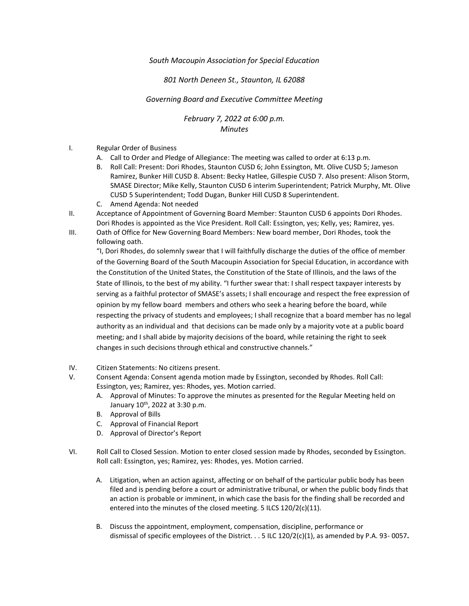## *South Macoupin Association for Special Education*

## *801 North Deneen St., Staunton, IL 62088*

## *Governing Board and Executive Committee Meeting*

*February 7, 2022 at 6:00 p.m. Minutes*

- I. Regular Order of Business
	- A. Call to Order and Pledge of Allegiance: The meeting was called to order at 6:13 p.m.
	- B. Roll Call: Present: Dori Rhodes, Staunton CUSD 6; John Essington, Mt. Olive CUSD 5; Jameson Ramirez, Bunker Hill CUSD 8. Absent: Becky Hatlee, Gillespie CUSD 7. Also present: Alison Storm, SMASE Director; Mike Kelly, Staunton CUSD 6 interim Superintendent; Patrick Murphy, Mt. Olive CUSD 5 Superintendent; Todd Dugan, Bunker Hill CUSD 8 Superintendent.
	- C. Amend Agenda: Not needed
- II. Acceptance of Appointment of Governing Board Member: Staunton CUSD 6 appoints Dori Rhodes. Dori Rhodes is appointed as the Vice President. Roll Call: Essington, yes; Kelly, yes; Ramirez, yes.
- III. Oath of Office for New Governing Board Members: New board member, Dori Rhodes, took the following oath.

"I, Dori Rhodes, do solemnly swear that I will faithfully discharge the duties of the office of member of the Governing Board of the South Macoupin Association for Special Education, in accordance with the Constitution of the United States, the Constitution of the State of Illinois, and the laws of the State of Illinois, to the best of my ability. "I further swear that: I shall respect taxpayer interests by serving as a faithful protector of SMASE's assets; I shall encourage and respect the free expression of opinion by my fellow board members and others who seek a hearing before the board, while respecting the privacy of students and employees; I shall recognize that a board member has no legal authority as an individual and that decisions can be made only by a majority vote at a public board meeting; and I shall abide by majority decisions of the board, while retaining the right to seek changes in such decisions through ethical and constructive channels."

- IV. Citizen Statements: No citizens present.
- V. Consent Agenda: Consent agenda motion made by Essington, seconded by Rhodes. Roll Call: Essington, yes; Ramirez, yes: Rhodes, yes. Motion carried.
	- A. Approval of Minutes: To approve the minutes as presented for the Regular Meeting held on January  $10^{th}$ , 2022 at 3:30 p.m.
	- B. Approval of Bills
	- C. Approval of Financial Report
	- D. Approval of Director's Report
- VI. Roll Call to Closed Session. Motion to enter closed session made by Rhodes, seconded by Essington. Roll call: Essington, yes; Ramirez, yes: Rhodes, yes. Motion carried.
	- A. Litigation, when an action against, affecting or on behalf of the particular public body has been filed and is pending before a court or administrative tribunal, or when the public body finds that an action is probable or imminent, in which case the basis for the finding shall be recorded and entered into the minutes of the closed meeting. 5 ILCS 120/2(c)(11).
	- B. Discuss the appointment, employment, compensation, discipline, performance or dismissal of specific employees of the District. . . 5 ILC 120/2(c)(1), as amended by P.A. 93- 0057**.**